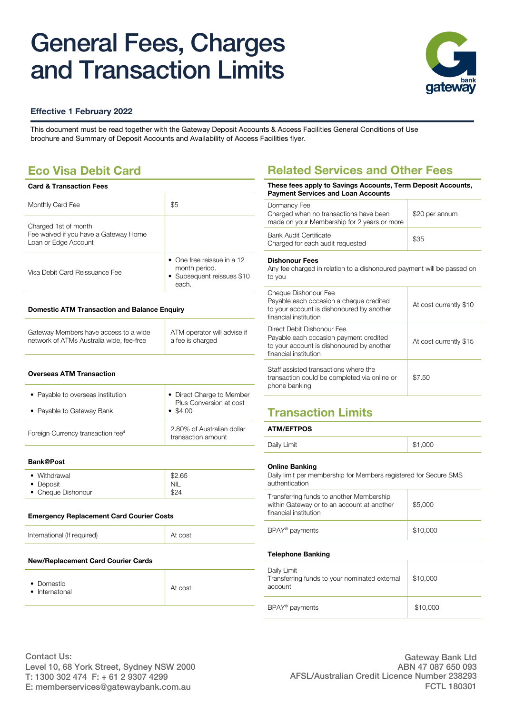# General Fees, Charges and Transaction Limits



## **Effective 1 February 2022**

This document must be read together with the [Gateway Deposit Accounts & Access Facilities General Conditions of Use](https://www.gatewaycu.com.au/uploadedFiles/PDF/PDS/GatewayDepositAccountsandAccessFacilities.pdf)  [brochure](https://www.gatewaycu.com.au/uploadedFiles/PDF/PDS/GatewayDepositAccountsandAccessFacilities.pdf) and [Summary of Deposit Accounts and Availability of Access Facilities flyer](https://www.gatewaycu.com.au/uploadedFiles/PDF/PDS/Summary%20of%20Deposit%20Accounts%20and%20Availability%20of%20Access%20Facilities.pdf).

## **Eco Visa Debit Card**

| <b>Card &amp; Transaction Fees</b>                                                    |                                                                                            |
|---------------------------------------------------------------------------------------|--------------------------------------------------------------------------------------------|
| Monthly Card Fee                                                                      | \$5                                                                                        |
| Charged 1st of month<br>Fee waived if you have a Gateway Home<br>Loan or Edge Account |                                                                                            |
| Visa Debit Card Reissuance Fee                                                        | $\bullet$ One free reissue in a 12<br>month period.<br>• Subsequent reissues \$10<br>each. |
|                                                                                       |                                                                                            |

### **Domestic ATM Transaction and Balance Enquiry**

| Gateway Members have access to a wide    | ATM operator will advise if |
|------------------------------------------|-----------------------------|
| network of ATMs Australia wide, fee-free | a fee is charged            |

### **Overseas ATM Transaction**

| • Payable to overseas institution<br>• Payable to Gateway Bank | • Direct Charge to Member<br>Plus Conversion at cost<br>$\bullet$ \$4.00 |
|----------------------------------------------------------------|--------------------------------------------------------------------------|
| Foreign Currency transaction fee <sup>4</sup>                  | 2.80% of Australian dollar<br>transaction amount                         |

### **Bank@Post**

| • Withdrawal       | \$2.65     |
|--------------------|------------|
| • Deposit          | <b>NIL</b> |
| • Cheque Dishonour | \$24       |

### **Emergency Replacement Card Courier Costs**

International (If required) and the state of the At cost

#### **New/Replacement Card Courier Cards**

| • Domestic<br>• Internatonal | At cost |
|------------------------------|---------|
|------------------------------|---------|

## **Related Services and Other Fees**

| These fees apply to Savings Accounts, Term Deposit Accounts,<br><b>Payment Services and Loan Accounts</b>    |                        |  |
|--------------------------------------------------------------------------------------------------------------|------------------------|--|
| Dormancy Fee<br>Charged when no transactions have been<br>made on your Membership for 2 years or more        | \$20 per annum         |  |
| Bank Audit Certificate<br>\$35<br>Charged for each audit requested                                           |                        |  |
| <b>Dishonour Fees</b><br>Any fee charged in relation to a dishonoured payment will be passed on<br>to you    |                        |  |
| Cheque Dishonour Fee<br>Payable each occasion a cheque credited<br>to your account is dishonoured by another | At cost currently \$10 |  |

| to your account is dishonoured by another<br>financial institution                                                                         |                        |
|--------------------------------------------------------------------------------------------------------------------------------------------|------------------------|
| Direct Debit Dishonour Fee<br>Payable each occasion payment credited<br>to your account is dishonoured by another<br>financial institution | At cost currently \$15 |
| Staff assisted transactions where the<br>transaction could be completed via online or<br>phone banking                                     | \$7.50                 |

## **Transaction Limits**

### **ATM/EFTPOS**

### **Online Banking**

Daily limit per membership for Members registered for Secure SMS authentication

| Transferring funds to another Membership<br>within Gateway or to an account at another<br>financial institution | \$5,000  |
|-----------------------------------------------------------------------------------------------------------------|----------|
| BPAY <sup>®</sup> payments                                                                                      | \$10,000 |
| <b>Telephone Banking</b>                                                                                        |          |
| Daily Limit<br>Transferring funds to your nominated external<br>account                                         | \$10,000 |
| BPAY <sup>®</sup> payments                                                                                      | \$10,000 |
|                                                                                                                 |          |

Contact Us: Level 10, 68 York Street, Sydney NSW 2000 T: 1300 302 474 F: + 61 2 9307 4299 E: memberservices@gatewaybank.com.au